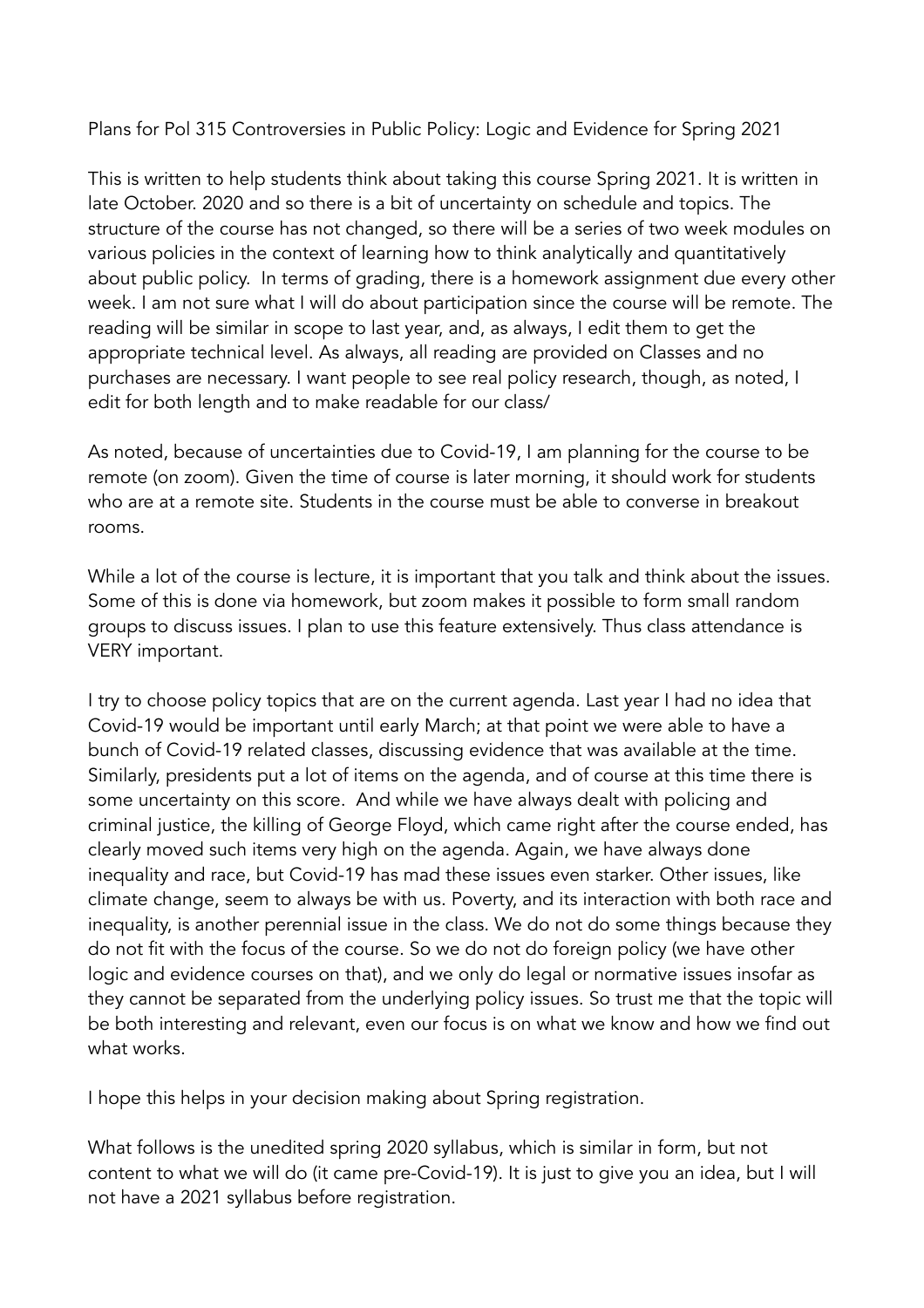Plans for Pol 315 Controversies in Public Policy: Logic and Evidence for Spring 2021

This is written to help students think about taking this course Spring 2021. It is written in late October. 2020 and so there is a bit of uncertainty on schedule and topics. The structure of the course has not changed, so there will be a series of two week modules on various policies in the context of learning how to think analytically and quantitatively about public policy. In terms of grading, there is a homework assignment due every other week. I am not sure what I will do about participation since the course will be remote. The reading will be similar in scope to last year, and, as always, I edit them to get the appropriate technical level. As always, all reading are provided on Classes and no purchases are necessary. I want people to see real policy research, though, as noted, I edit for both length and to make readable for our class/

As noted, because of uncertainties due to Covid-19, I am planning for the course to be remote (on zoom). Given the time of course is later morning, it should work for students who are at a remote site. Students in the course must be able to converse in breakout rooms.

While a lot of the course is lecture, it is important that you talk and think about the issues. Some of this is done via homework, but zoom makes it possible to form small random groups to discuss issues. I plan to use this feature extensively. Thus class attendance is VERY important.

I try to choose policy topics that are on the current agenda. Last year I had no idea that Covid-19 would be important until early March; at that point we were able to have a bunch of Covid-19 related classes, discussing evidence that was available at the time. Similarly, presidents put a lot of items on the agenda, and of course at this time there is some uncertainty on this score. And while we have always dealt with policing and criminal justice, the killing of George Floyd, which came right after the course ended, has clearly moved such items very high on the agenda. Again, we have always done inequality and race, but Covid-19 has mad these issues even starker. Other issues, like climate change, seem to always be with us. Poverty, and its interaction with both race and inequality, is another perennial issue in the class. We do not do some things because they do not fit with the focus of the course. So we do not do foreign policy (we have other logic and evidence courses on that), and we only do legal or normative issues insofar as they cannot be separated from the underlying policy issues. So trust me that the topic will be both interesting and relevant, even our focus is on what we know and how we find out what works.

I hope this helps in your decision making about Spring registration.

What follows is the unedited spring 2020 syllabus, which is similar in form, but not content to what we will do (it came pre-Covid-19). It is just to give you an idea, but I will not have a 2021 syllabus before registration.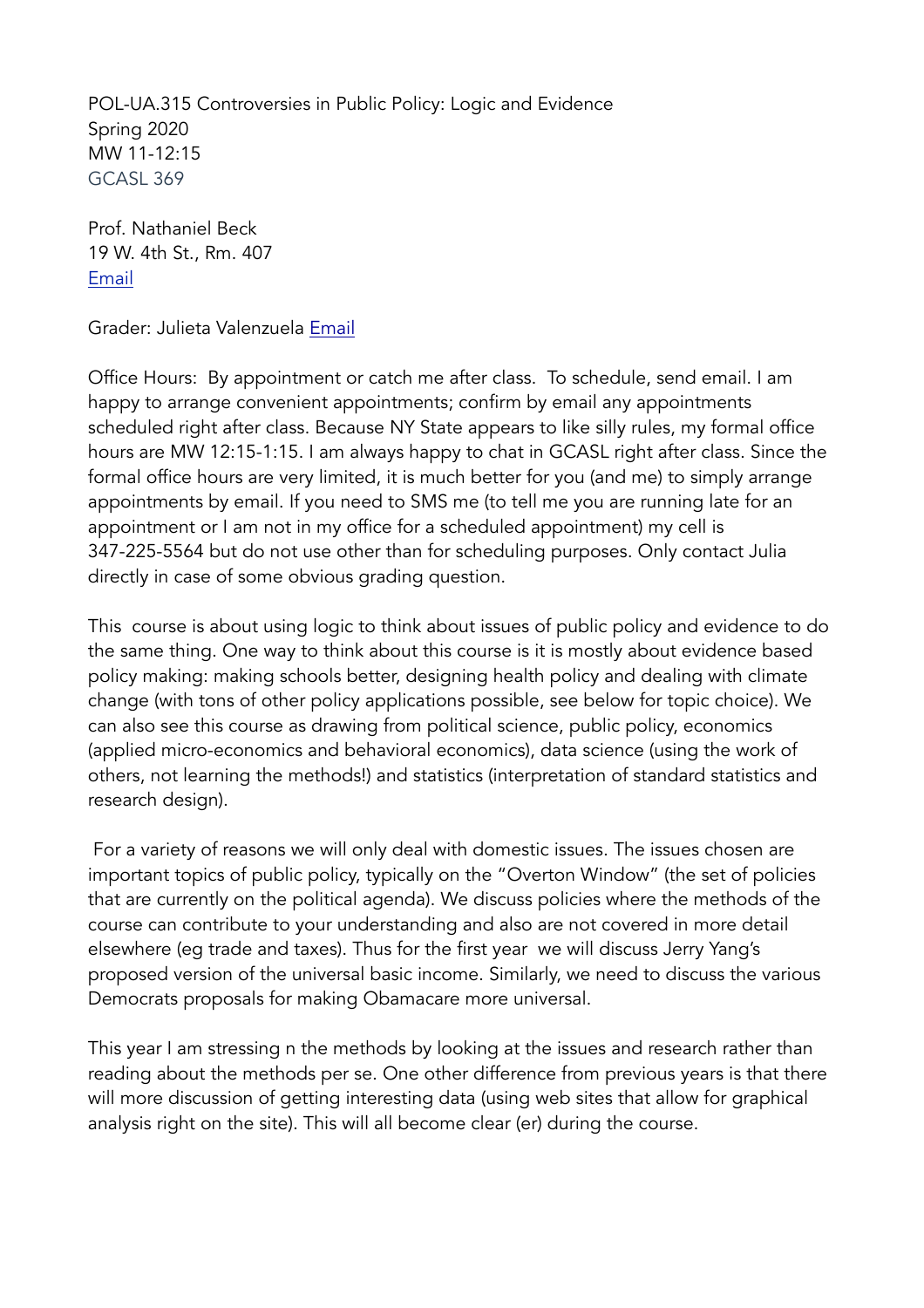POL-UA.315 Controversies in Public Policy: Logic and Evidence Spring 2020 MW 11-12:15 GCASL 369

Prof. Nathaniel Beck 19 W. 4th St., Rm. 407 [Email](mailto:nathaniel.beck@nyu.edu)

Grader: Julieta Valenzuela [Email](mailto:%20jv1498@nyu.edu)

Office Hours: By appointment or catch me after class. To schedule, send email. I am happy to arrange convenient appointments; confirm by email any appointments scheduled right after class. Because NY State appears to like silly rules, my formal office hours are MW 12:15-1:15. I am always happy to chat in GCASL right after class. Since the formal office hours are very limited, it is much better for you (and me) to simply arrange appointments by email. If you need to SMS me (to tell me you are running late for an appointment or I am not in my office for a scheduled appointment) my cell is 347-225-5564 but do not use other than for scheduling purposes. Only contact Julia directly in case of some obvious grading question.

This course is about using logic to think about issues of public policy and evidence to do the same thing. One way to think about this course is it is mostly about evidence based policy making: making schools better, designing health policy and dealing with climate change (with tons of other policy applications possible, see below for topic choice). We can also see this course as drawing from political science, public policy, economics (applied micro-economics and behavioral economics), data science (using the work of others, not learning the methods!) and statistics (interpretation of standard statistics and research design).

 For a variety of reasons we will only deal with domestic issues. The issues chosen are important topics of public policy, typically on the "Overton Window" (the set of policies that are currently on the political agenda). We discuss policies where the methods of the course can contribute to your understanding and also are not covered in more detail elsewhere (eg trade and taxes). Thus for the first year we will discuss Jerry Yang's proposed version of the universal basic income. Similarly, we need to discuss the various Democrats proposals for making Obamacare more universal.

This year I am stressing n the methods by looking at the issues and research rather than reading about the methods per se. One other difference from previous years is that there will more discussion of getting interesting data (using web sites that allow for graphical analysis right on the site). This will all become clear (er) during the course.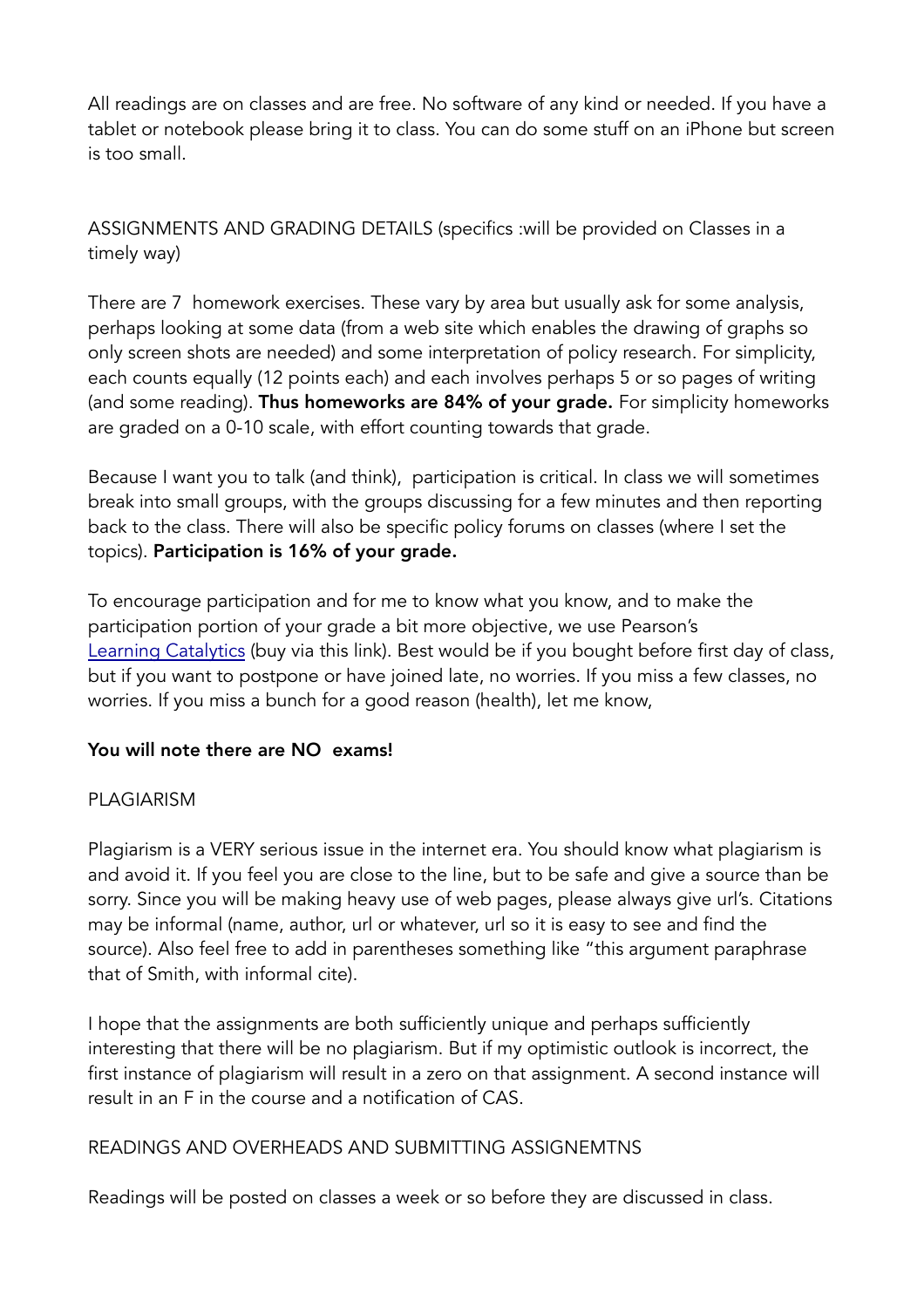All readings are on classes and are free. No software of any kind or needed. If you have a tablet or notebook please bring it to class. You can do some stuff on an iPhone but screen is too small.

ASSIGNMENTS AND GRADING DETAILS (specifics :will be provided on Classes in a timely way)

There are 7 homework exercises. These vary by area but usually ask for some analysis, perhaps looking at some data (from a web site which enables the drawing of graphs so only screen shots are needed) and some interpretation of policy research. For simplicity, each counts equally (12 points each) and each involves perhaps 5 or so pages of writing (and some reading). Thus homeworks are 84% of your grade. For simplicity homeworks are graded on a 0-10 scale, with effort counting towards that grade.

Because I want you to talk (and think), participation is critical. In class we will sometimes break into small groups, with the groups discussing for a few minutes and then reporting back to the class. There will also be specific policy forums on classes (where I set the topics). Participation is 16% of your grade.

To encourage participation and for me to know what you know, and to make the participation portion of your grade a bit more objective, we use Pearson's [Learning Catalytics](https://bit.ly/2T5ohIg) (buy via this link). Best would be if you bought before first day of class, but if you want to postpone or have joined late, no worries. If you miss a few classes, no worries. If you miss a bunch for a good reason (health), let me know,

## You will note there are NO exams!

## PLAGIARISM

Plagiarism is a VERY serious issue in the internet era. You should know what plagiarism is and avoid it. If you feel you are close to the line, but to be safe and give a source than be sorry. Since you will be making heavy use of web pages, please always give url's. Citations may be informal (name, author, url or whatever, url so it is easy to see and find the source). Also feel free to add in parentheses something like "this argument paraphrase that of Smith, with informal cite).

I hope that the assignments are both sufficiently unique and perhaps sufficiently interesting that there will be no plagiarism. But if my optimistic outlook is incorrect, the first instance of plagiarism will result in a zero on that assignment. A second instance will result in an F in the course and a notification of CAS.

## READINGS AND OVERHEADS AND SUBMITTING ASSIGNEMTNS

Readings will be posted on classes a week or so before they are discussed in class.